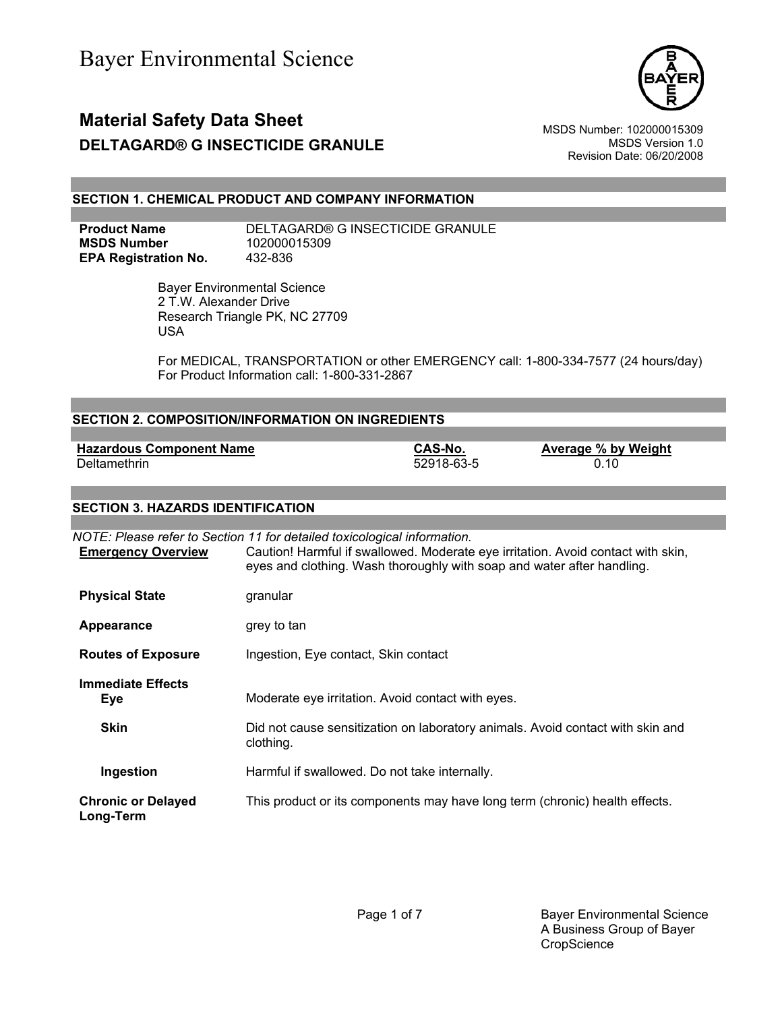

Revision Date: 06/20/2008

## **SECTION 1. CHEMICAL PRODUCT AND COMPANY INFORMATION**

**MSDS Number** 102000015309 **EPA Registration No.** 432-836

**Product Name** DELTAGARD® G INSECTICIDE GRANULE

 Bayer Environmental Science 2 T.W. Alexander Drive Research Triangle PK, NC 27709 USA

For MEDICAL, TRANSPORTATION or other EMERGENCY call: 1-800-334-7577 (24 hours/day) For Product Information call: 1-800-331-2867

| SECTION 2. COMPOSITION/INFORMATION ON INGREDIENTS                        |                                                                        |            |                                                                                  |
|--------------------------------------------------------------------------|------------------------------------------------------------------------|------------|----------------------------------------------------------------------------------|
|                                                                          |                                                                        |            |                                                                                  |
| <b>Hazardous Component Name</b>                                          |                                                                        | CAS-No.    | Average % by Weight                                                              |
| Deltamethrin                                                             |                                                                        | 52918-63-5 | 0.10                                                                             |
|                                                                          |                                                                        |            |                                                                                  |
| <b>SECTION 3. HAZARDS IDENTIFICATION</b>                                 |                                                                        |            |                                                                                  |
|                                                                          |                                                                        |            |                                                                                  |
| NOTE: Please refer to Section 11 for detailed toxicological information. |                                                                        |            |                                                                                  |
| <b>Emergency Overview</b>                                                | eyes and clothing. Wash thoroughly with soap and water after handling. |            | Caution! Harmful if swallowed. Moderate eye irritation. Avoid contact with skin, |

| <b>Physical State</b> | granular |
|-----------------------|----------|
|-----------------------|----------|

**Appearance** grey to tan

**Routes of Exposure** Ingestion, Eye contact, Skin contact

**Immediate Effects Eye** Moderate eye irritation. Avoid contact with eyes.

**Skin** Did not cause sensitization on laboratory animals. Avoid contact with skin and clothing.

**Ingestion** Harmful if swallowed. Do not take internally.

**Chronic or Delayed Long-Term** This product or its components may have long term (chronic) health effects.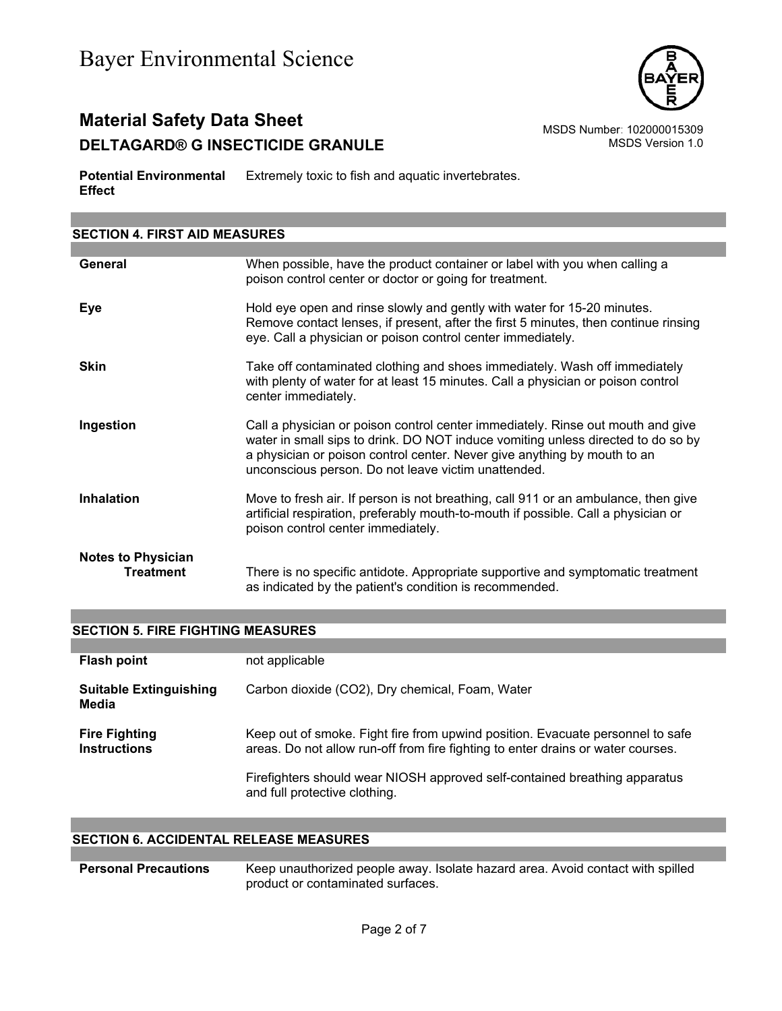

# **Material Safety Data Sheet**<br>DELTAGARD® G INSECTICIDE GRANULE MSDS Number: 102000015309 **DELTAGARD® G INSECTICIDE GRANULE**

**Potential Environmental**  Extremely toxic to fish and aquatic invertebrates. **Effect**

| <b>SECTION 4. FIRST AID MEASURES</b>          |                                                                                                                                                                                                                                                                                                        |  |
|-----------------------------------------------|--------------------------------------------------------------------------------------------------------------------------------------------------------------------------------------------------------------------------------------------------------------------------------------------------------|--|
|                                               |                                                                                                                                                                                                                                                                                                        |  |
| General                                       | When possible, have the product container or label with you when calling a<br>poison control center or doctor or going for treatment.                                                                                                                                                                  |  |
| Eye                                           | Hold eye open and rinse slowly and gently with water for 15-20 minutes.<br>Remove contact lenses, if present, after the first 5 minutes, then continue rinsing<br>eye. Call a physician or poison control center immediately.                                                                          |  |
| <b>Skin</b>                                   | Take off contaminated clothing and shoes immediately. Wash off immediately<br>with plenty of water for at least 15 minutes. Call a physician or poison control<br>center immediately.                                                                                                                  |  |
| Ingestion                                     | Call a physician or poison control center immediately. Rinse out mouth and give<br>water in small sips to drink. DO NOT induce vomiting unless directed to do so by<br>a physician or poison control center. Never give anything by mouth to an<br>unconscious person. Do not leave victim unattended. |  |
| <b>Inhalation</b>                             | Move to fresh air. If person is not breathing, call 911 or an ambulance, then give<br>artificial respiration, preferably mouth-to-mouth if possible. Call a physician or<br>poison control center immediately.                                                                                         |  |
| <b>Notes to Physician</b><br><b>Treatment</b> | There is no specific antidote. Appropriate supportive and symptomatic treatment<br>as indicated by the patient's condition is recommended.                                                                                                                                                             |  |

|  |  | <b>SECTION 5. FIRE FIGHTING MEASURES</b> |
|--|--|------------------------------------------|
|  |  |                                          |

| <b>Flash point</b>                          | not applicable                                                                                                                                                     |
|---------------------------------------------|--------------------------------------------------------------------------------------------------------------------------------------------------------------------|
| <b>Suitable Extinguishing</b><br>Media      | Carbon dioxide (CO2), Dry chemical, Foam, Water                                                                                                                    |
| <b>Fire Fighting</b><br><b>Instructions</b> | Keep out of smoke. Fight fire from upwind position. Evacuate personnel to safe<br>areas. Do not allow run-off from fire fighting to enter drains or water courses. |
|                                             | Firefighters should wear NIOSH approved self-contained breathing apparatus<br>and full protective clothing.                                                        |

## **SECTION 6. ACCIDENTAL RELEASE MEASURES**

| <b>Personal Precautions</b> | Keep unauthorized people away. Isolate hazard area. Avoid contact with spilled |
|-----------------------------|--------------------------------------------------------------------------------|
|                             | product or contaminated surfaces.                                              |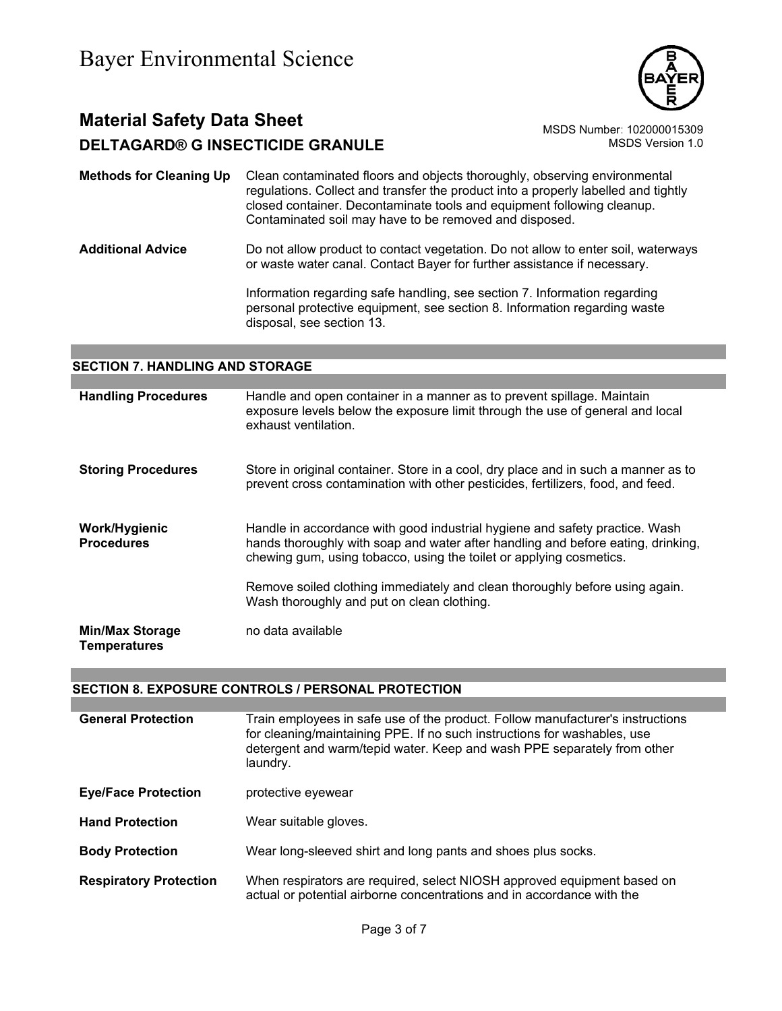

- **Methods for Cleaning Up** Clean contaminated floors and objects thoroughly, observing environmental regulations. Collect and transfer the product into a properly labelled and tightly closed container. Decontaminate tools and equipment following cleanup. Contaminated soil may have to be removed and disposed.
- **Additional Advice** Do not allow product to contact vegetation. Do not allow to enter soil, waterways or waste water canal. Contact Bayer for further assistance if necessary.

Information regarding safe handling, see section 7. Information regarding personal protective equipment, see section 8. Information regarding waste disposal, see section 13.

## **SECTION 7. HANDLING AND STORAGE**

| <b>Handling Procedures</b>                    | Handle and open container in a manner as to prevent spillage. Maintain<br>exposure levels below the exposure limit through the use of general and local<br>exhaust ventilation.                                                        |
|-----------------------------------------------|----------------------------------------------------------------------------------------------------------------------------------------------------------------------------------------------------------------------------------------|
| <b>Storing Procedures</b>                     | Store in original container. Store in a cool, dry place and in such a manner as to<br>prevent cross contamination with other pesticides, fertilizers, food, and feed.                                                                  |
| Work/Hygienic<br><b>Procedures</b>            | Handle in accordance with good industrial hygiene and safety practice. Wash<br>hands thoroughly with soap and water after handling and before eating, drinking,<br>chewing gum, using tobacco, using the toilet or applying cosmetics. |
|                                               | Remove soiled clothing immediately and clean thoroughly before using again.<br>Wash thoroughly and put on clean clothing.                                                                                                              |
| <b>Min/Max Storage</b><br><b>Temperatures</b> | no data available                                                                                                                                                                                                                      |

## **SECTION 8. EXPOSURE CONTROLS / PERSONAL PROTECTION**

| <b>General Protection</b>     | Train employees in safe use of the product. Follow manufacturer's instructions<br>for cleaning/maintaining PPE. If no such instructions for washables, use<br>detergent and warm/tepid water. Keep and wash PPE separately from other<br>laundry. |
|-------------------------------|---------------------------------------------------------------------------------------------------------------------------------------------------------------------------------------------------------------------------------------------------|
| <b>Eye/Face Protection</b>    | protective eyewear                                                                                                                                                                                                                                |
| <b>Hand Protection</b>        | Wear suitable gloves.                                                                                                                                                                                                                             |
| <b>Body Protection</b>        | Wear long-sleeved shirt and long pants and shoes plus socks.                                                                                                                                                                                      |
| <b>Respiratory Protection</b> | When respirators are required, select NIOSH approved equipment based on<br>actual or potential airborne concentrations and in accordance with the                                                                                                 |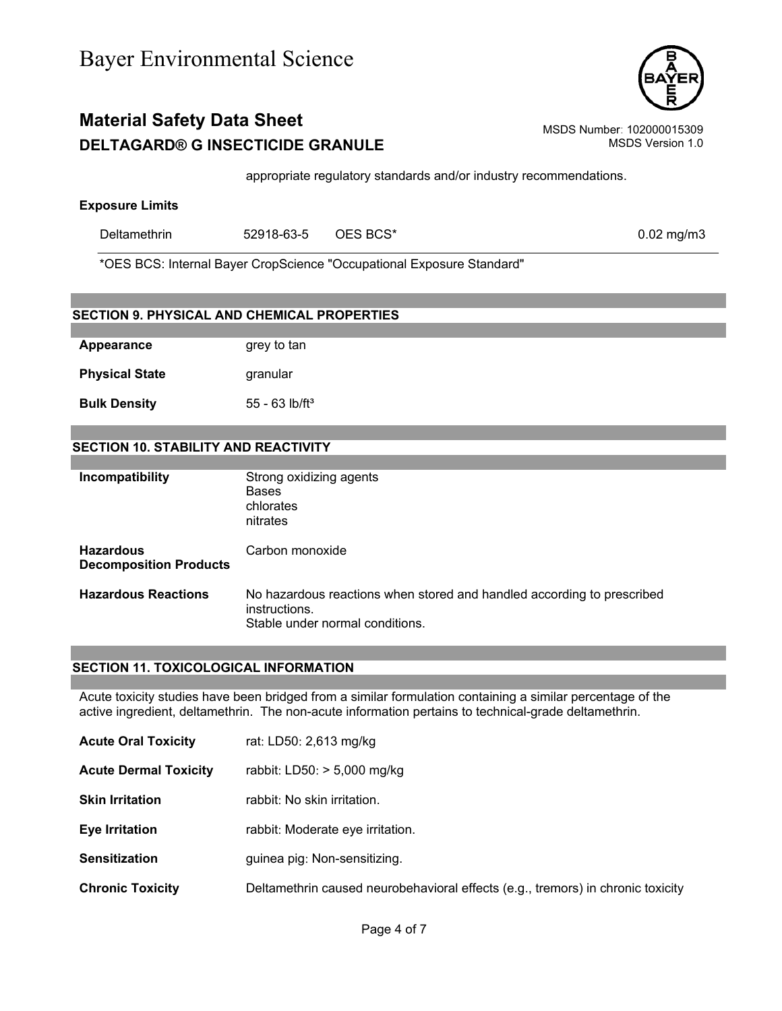appropriate regulatory standards and/or industry recommendations.

## **Exposure Limits**

| Deltamethrin | 52918-63-5 | $\sqrt{2}$ OES BCS* | $0.02$ mg/m3 |
|--------------|------------|---------------------|--------------|
|              |            |                     |              |

\*OES BCS: Internal Bayer CropScience "Occupational Exposure Standard"

| <b>SECTION 9. PHYSICAL AND CHEMICAL PROPERTIES</b> |                                                                                         |
|----------------------------------------------------|-----------------------------------------------------------------------------------------|
|                                                    |                                                                                         |
| <b>Appearance</b>                                  | grey to tan                                                                             |
| <b>Physical State</b>                              | granular                                                                                |
| <b>Bulk Density</b>                                | $55 - 63$ lb/ft <sup>3</sup>                                                            |
|                                                    |                                                                                         |
| <b>SECTION 10. STABILITY AND REACTIVITY</b>        |                                                                                         |
|                                                    |                                                                                         |
| Incompatibility                                    | Strong oxidizing agents<br><b>Bases</b>                                                 |
|                                                    | chlorates<br>nitrates                                                                   |
|                                                    |                                                                                         |
| <b>Hazardous</b><br><b>Decomposition Products</b>  | Carbon monoxide                                                                         |
| <b>Hazardous Reactions</b>                         | No hazardous reactions when stored and handled according to prescribed<br>instructions. |
|                                                    | Stable under normal conditions.                                                         |

## **SECTION 11. TOXICOLOGICAL INFORMATION**

Acute toxicity studies have been bridged from a similar formulation containing a similar percentage of the active ingredient, deltamethrin. The non-acute information pertains to technical-grade deltamethrin.

- **Acute Oral Toxicity** rat: LD50: 2,613 mg/kg
- **Acute Dermal Toxicity** rabbit: LD50: > 5,000 mg/kg
- **Skin Irritation** rabbit: No skin irritation.
- **Eye Irritation Eye Irritation** rabbit: Moderate eye irritation.
- **Sensitization guinea pig: Non-sensitizing.**
- **Chronic Toxicity** Deltamethrin caused neurobehavioral effects (e.g., tremors) in chronic toxicity

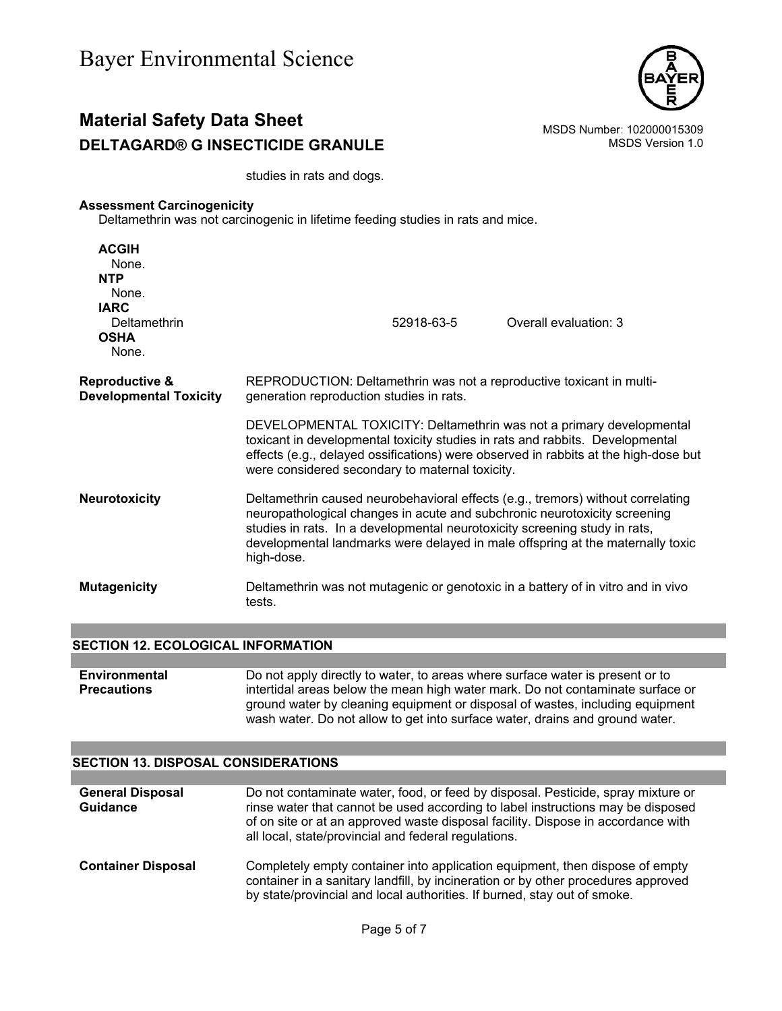

# **Material Safety Data Sheet**<br>**DELTAGARD® G INSECTICIDE GRANLILE** MSDS Number: 102000015309<br>MSDS Version 1.0 **DELTAGARD® G INSECTICIDE GRANULE**

studies in rats and dogs.

## **Assessment Carcinogenicity**

Deltamethrin was not carcinogenic in lifetime feeding studies in rats and mice.

| <b>ACGIH</b><br>None.<br><b>NTP</b><br>None.<br><b>IARC</b><br>Deltamethrin<br><b>OSHA</b><br>None. | 52918-63-5<br>Overall evaluation: 3                                                                                                                                                                                                                                                                                                        |
|-----------------------------------------------------------------------------------------------------|--------------------------------------------------------------------------------------------------------------------------------------------------------------------------------------------------------------------------------------------------------------------------------------------------------------------------------------------|
| <b>Reproductive &amp;</b><br><b>Developmental Toxicity</b>                                          | REPRODUCTION: Deltamethrin was not a reproductive toxicant in multi-<br>generation reproduction studies in rats.                                                                                                                                                                                                                           |
|                                                                                                     | DEVELOPMENTAL TOXICITY: Deltamethrin was not a primary developmental<br>toxicant in developmental toxicity studies in rats and rabbits. Developmental<br>effects (e.g., delayed ossifications) were observed in rabbits at the high-dose but<br>were considered secondary to maternal toxicity.                                            |
| <b>Neurotoxicity</b>                                                                                | Deltamethrin caused neurobehavioral effects (e.g., tremors) without correlating<br>neuropathological changes in acute and subchronic neurotoxicity screening<br>studies in rats. In a developmental neurotoxicity screening study in rats,<br>developmental landmarks were delayed in male offspring at the maternally toxic<br>high-dose. |
| <b>Mutagenicity</b>                                                                                 | Deltamethrin was not mutagenic or genotoxic in a battery of in vitro and in vivo<br>tests.                                                                                                                                                                                                                                                 |

#### **SECTION 12. ECOLOGICAL INFORMATION**

| Environmental      | Do not apply directly to water, to areas where surface water is present or to  |
|--------------------|--------------------------------------------------------------------------------|
| <b>Precautions</b> | intertidal areas below the mean high water mark. Do not contaminate surface or |
|                    | ground water by cleaning equipment or disposal of wastes, including equipment  |
|                    | wash water. Do not allow to get into surface water, drains and ground water.   |

#### **SECTION 13. DISPOSAL CONSIDERATIONS**

| <b>General Disposal</b><br><b>Guidance</b> | Do not contaminate water, food, or feed by disposal. Pesticide, spray mixture or<br>rinse water that cannot be used according to label instructions may be disposed<br>of on site or at an approved waste disposal facility. Dispose in accordance with<br>all local, state/provincial and federal regulations. |
|--------------------------------------------|-----------------------------------------------------------------------------------------------------------------------------------------------------------------------------------------------------------------------------------------------------------------------------------------------------------------|
| <b>Container Disposal</b>                  | Completely empty container into application equipment, then dispose of empty<br>container in a sanitary landfill, by incineration or by other procedures approved<br>by state/provincial and local authorities. If burned, stay out of smoke.                                                                   |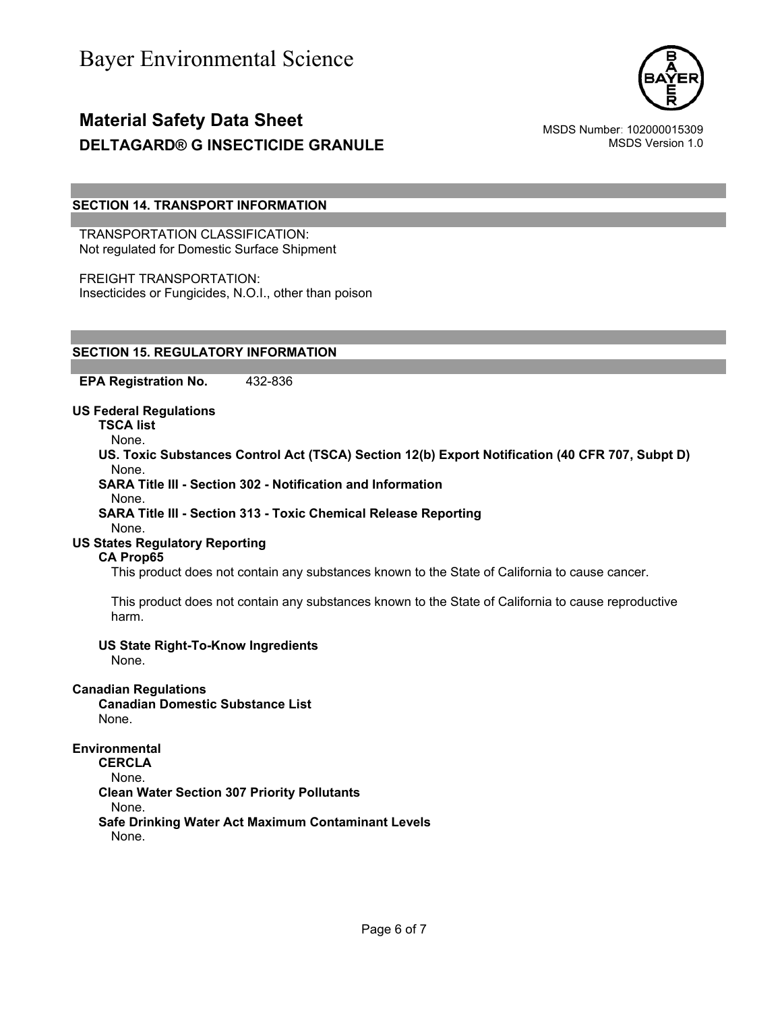

## **SECTION 14. TRANSPORT INFORMATION**

TRANSPORTATION CLASSIFICATION: Not regulated for Domestic Surface Shipment

FREIGHT TRANSPORTATION: Insecticides or Fungicides, N.O.I., other than poison

# **SECTION 15. REGULATORY INFORMATION**

**EPA Registration No.** 432-836

**US Federal Regulations**

**TSCA list**

None.

**US. Toxic Substances Control Act (TSCA) Section 12(b) Export Notification (40 CFR 707, Subpt D)** None.

**SARA Title III - Section 302 - Notification and Information**

None.

# **SARA Title III - Section 313 - Toxic Chemical Release Reporting**

# None.

**US States Regulatory Reporting**

## **CA Prop65**

This product does not contain any substances known to the State of California to cause cancer.

This product does not contain any substances known to the State of California to cause reproductive harm.

#### **US State Right-To-Know Ingredients**

None.

## **Canadian Regulations**

**Canadian Domestic Substance List**  None.

#### **Environmental**

**CERCLA** 

None.

**Clean Water Section 307 Priority Pollutants** 

None.

**Safe Drinking Water Act Maximum Contaminant Levels** 

None.